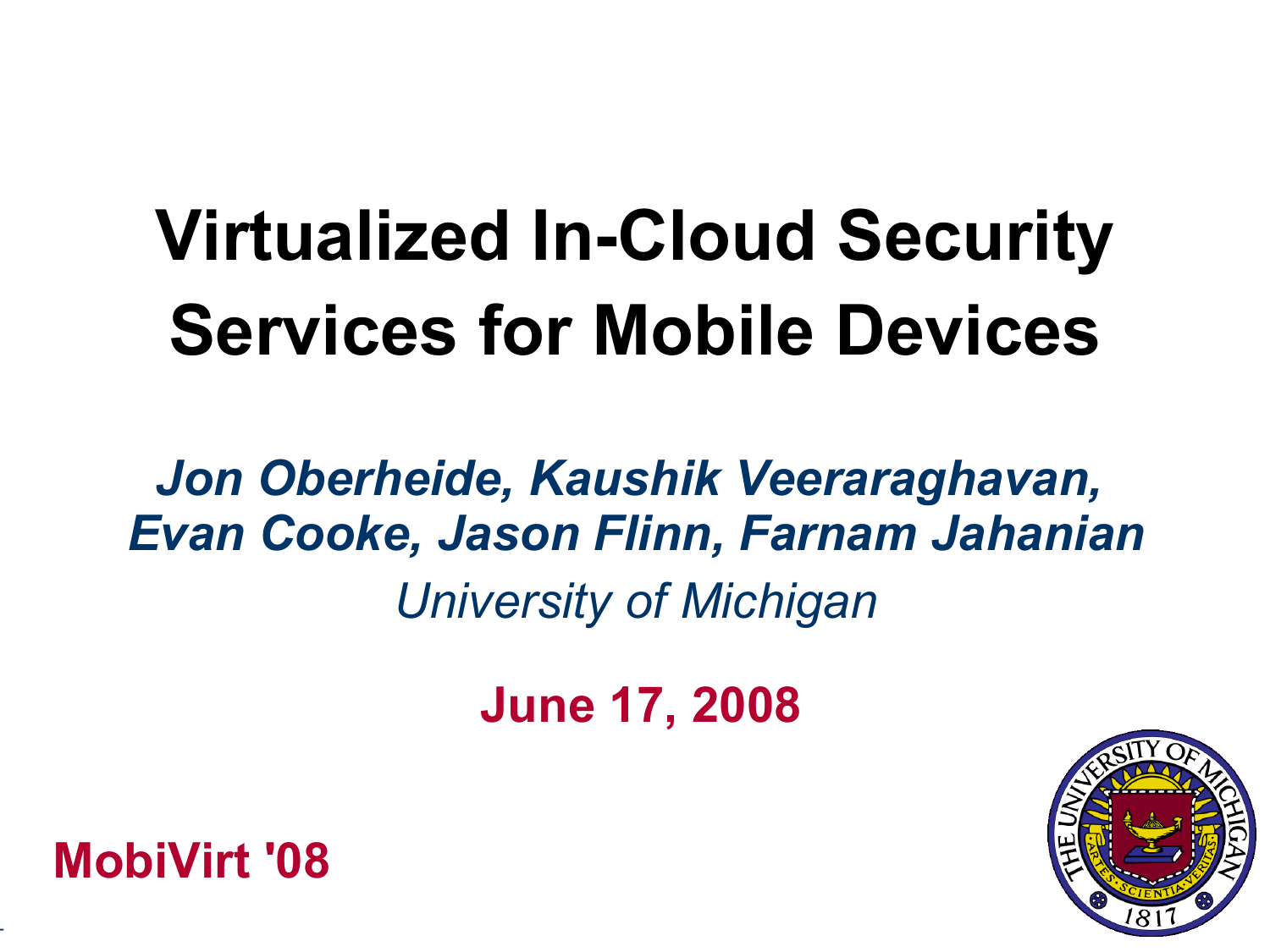# **Virtualized In-Cloud Security Services for Mobile Devices**

# *Jon Oberheide, Kaushik Veeraraghavan, Evan Cooke, Jason Flinn, Farnam Jahanian University of Michigan*

**June 17, 2008**





-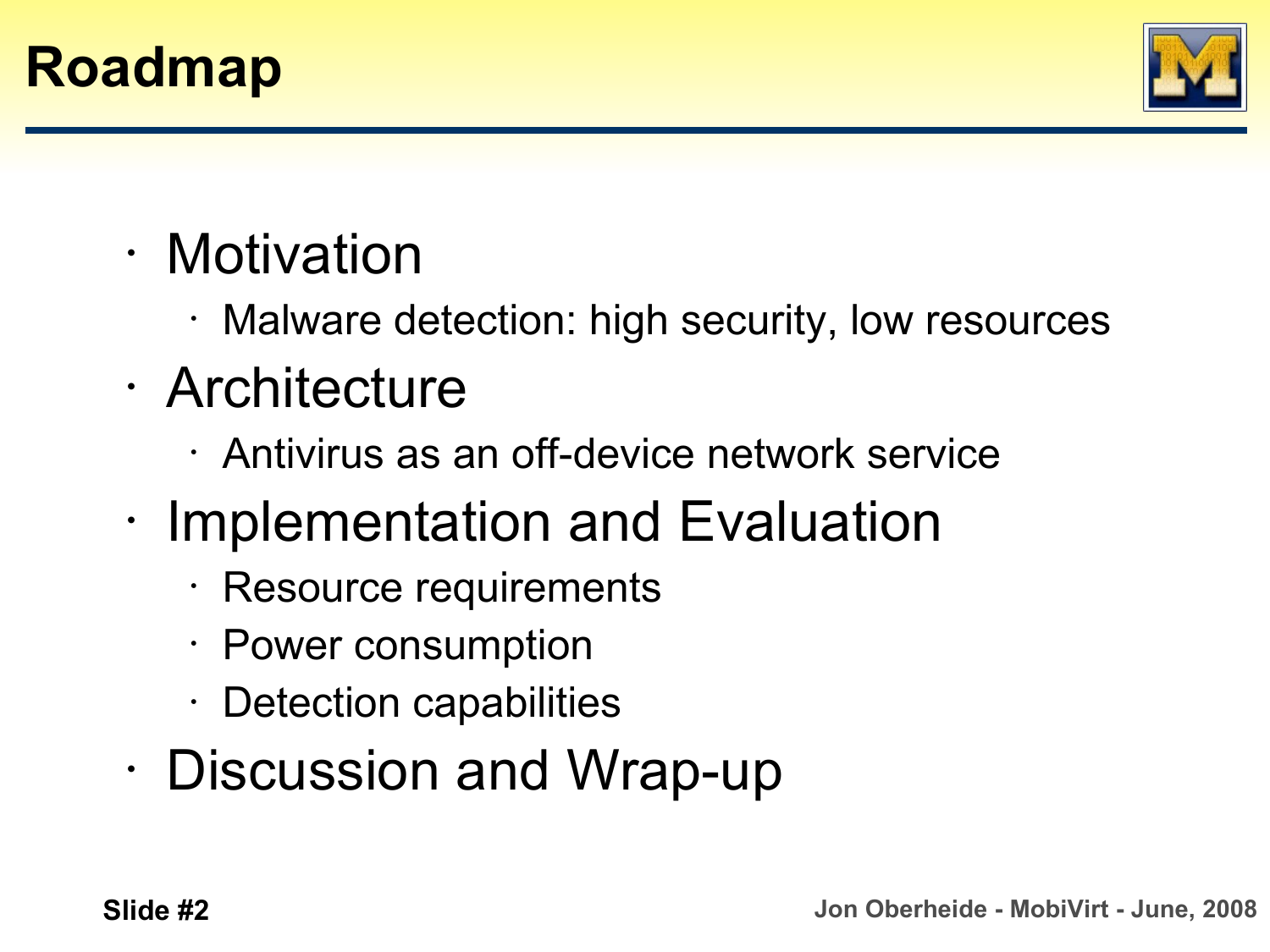



- Motivation
	- Malware detection: high security, low resources
- Architecture
	- Antivirus as an off-device network service
- Implementation and Evaluation
	- Resource requirements
	- Power consumption
	- Detection capabilities
- Discussion and Wrap-up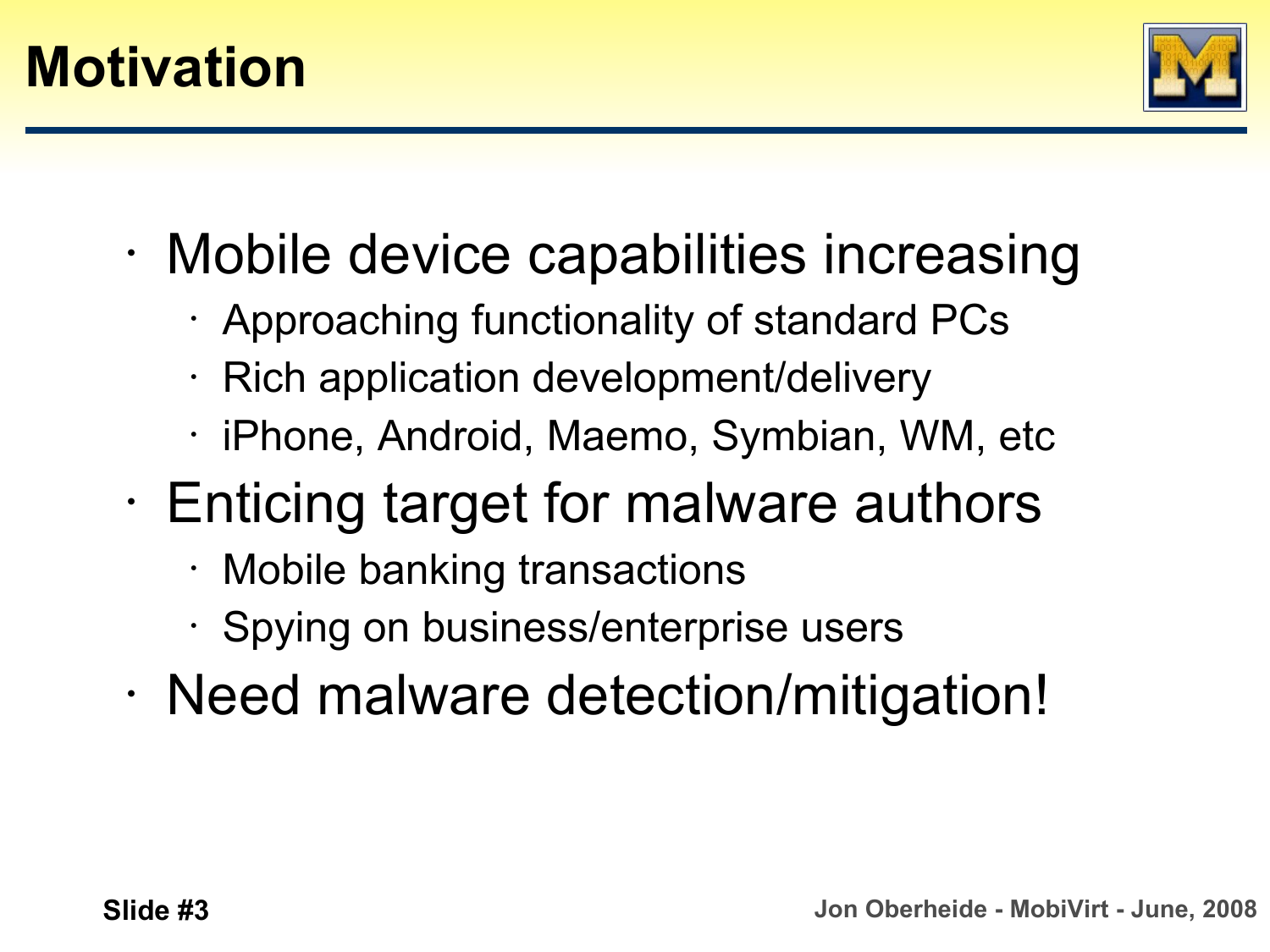

- Mobile device capabilities increasing
	- Approaching functionality of standard PCs
	- Rich application development/delivery
	- iPhone, Android, Maemo, Symbian, WM, etc
- Enticing target for malware authors
	- Mobile banking transactions
	- Spying on business/enterprise users
- Need malware detection/mitigation!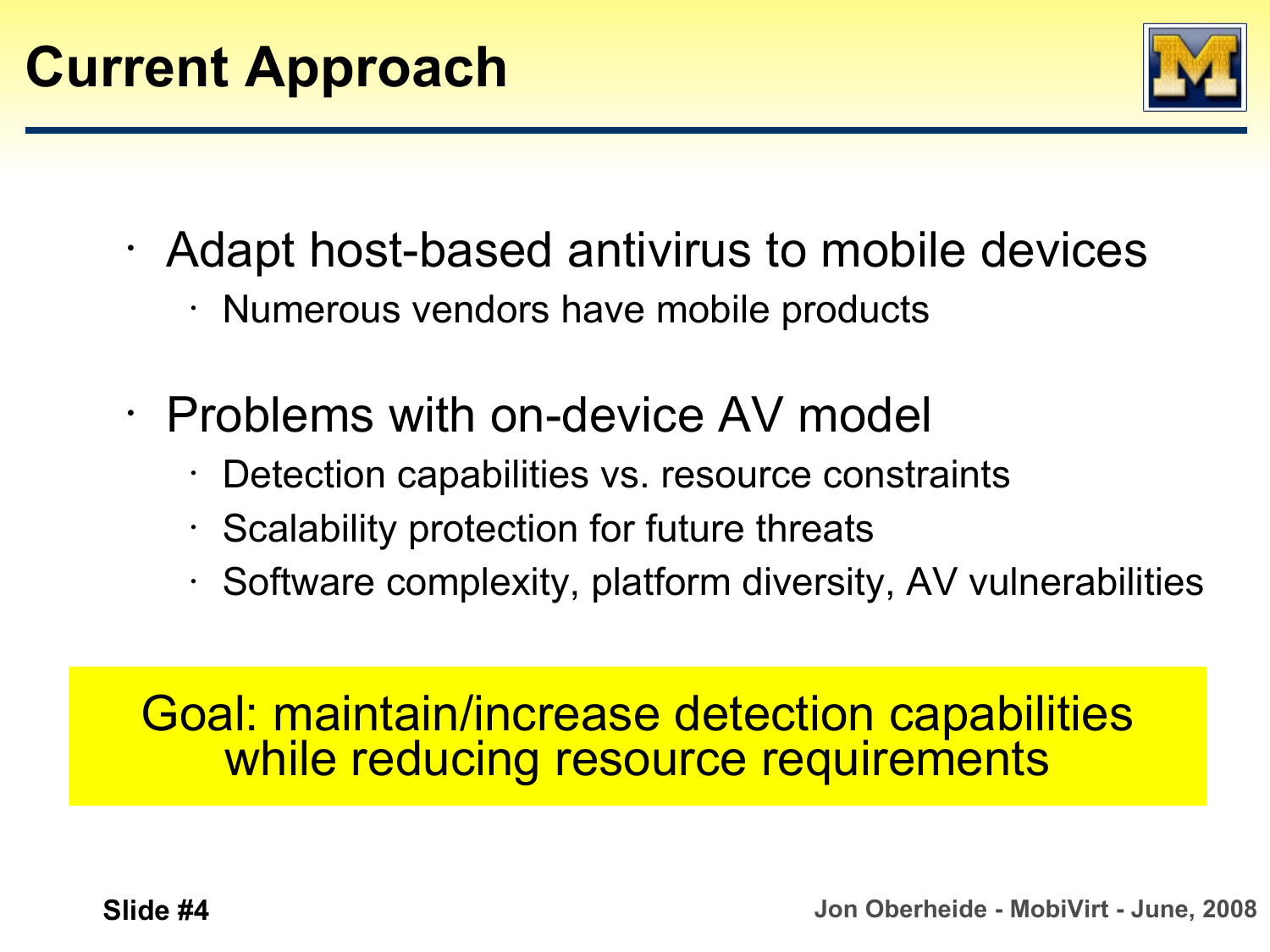

- Adapt host-based antivirus to mobile devices
	- Numerous vendors have mobile products
- Problems with on-device AV model
	- Detection capabilities vs. resource constraints
	- $\cdot$  Scalability protection for future threats
	- Software complexity, platform diversity, AV vulnerabilities

### Goal: maintain/increase detection capabilities while reducing resource requirements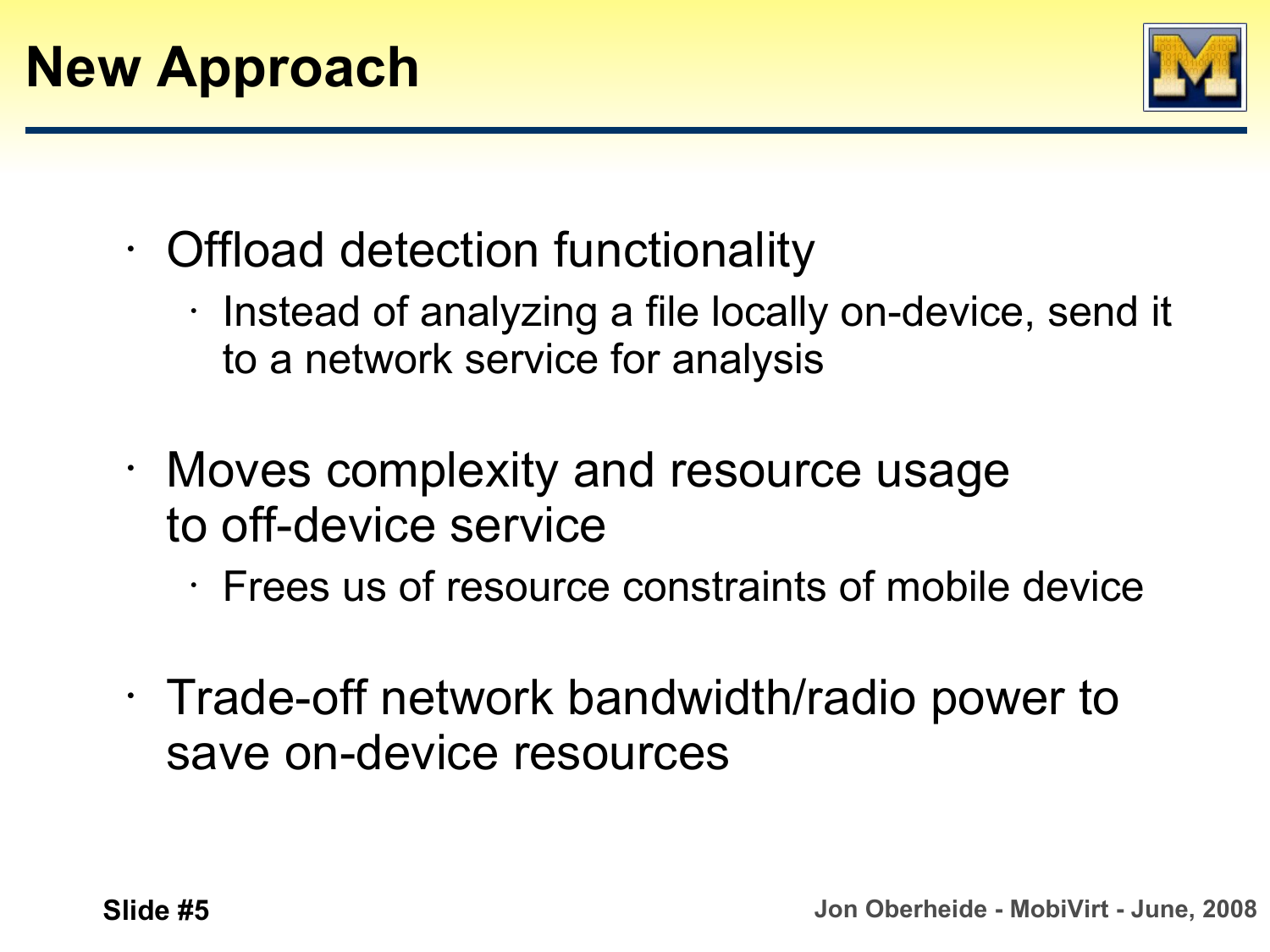

- Offload detection functionality
	- Instead of analyzing a file locally on-device, send it to a network service for analysis
- Moves complexity and resource usage to off-device service
	- Frees us of resource constraints of mobile device
- Trade-off network bandwidth/radio power to save on-device resources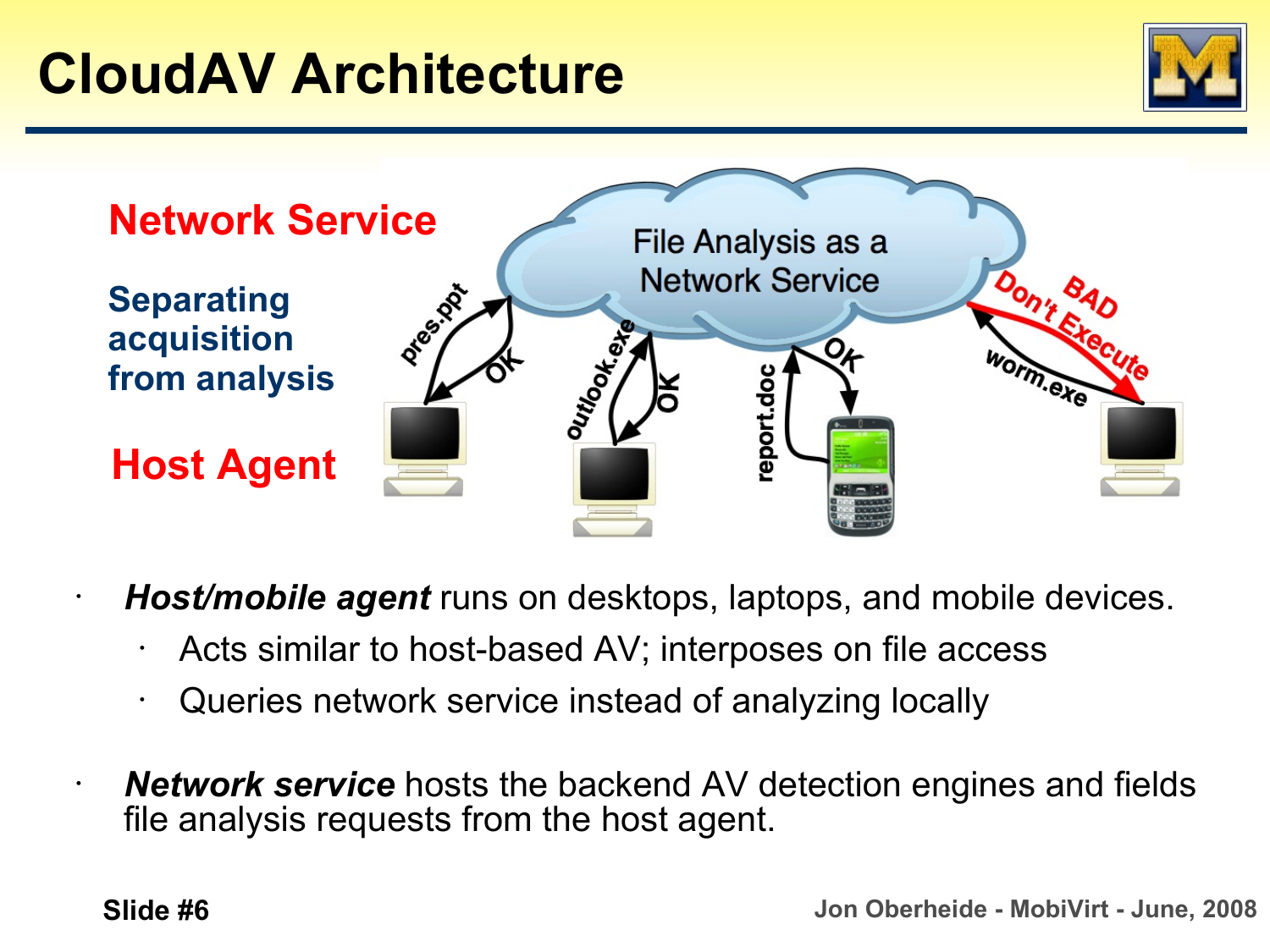



• *Host/mobile agent* runs on desktops, laptops, and mobile devices.

- Acts similar to host-based AV; interposes on file access
- Queries network service instead of analyzing locally
- *Network service* hosts the backend AV detection engines and fields file analysis requests from the host agent.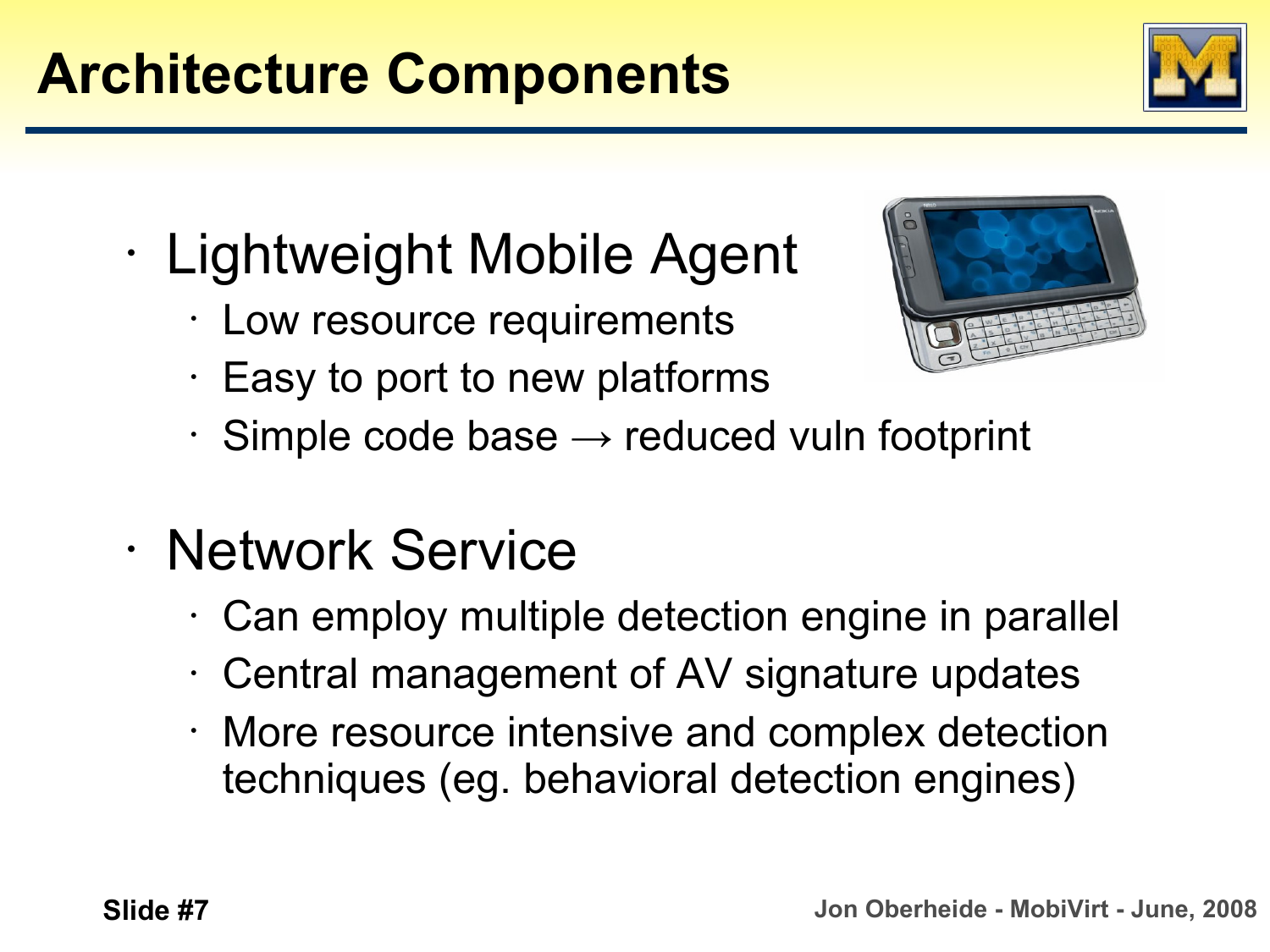#### **Slide #7 Jon Oberheide - MobiVirt - June, 2008**

# **Architecture Components**

- Lightweight Mobile Agent
	- Low resource requirements
	- Easy to port to new platforms
	- $\cdot$  Simple code base  $\rightarrow$  reduced vuln footprint
- Network Service
	- Can employ multiple detection engine in parallel
	- Central management of AV signature updates
	- More resource intensive and complex detection techniques (eg. behavioral detection engines)



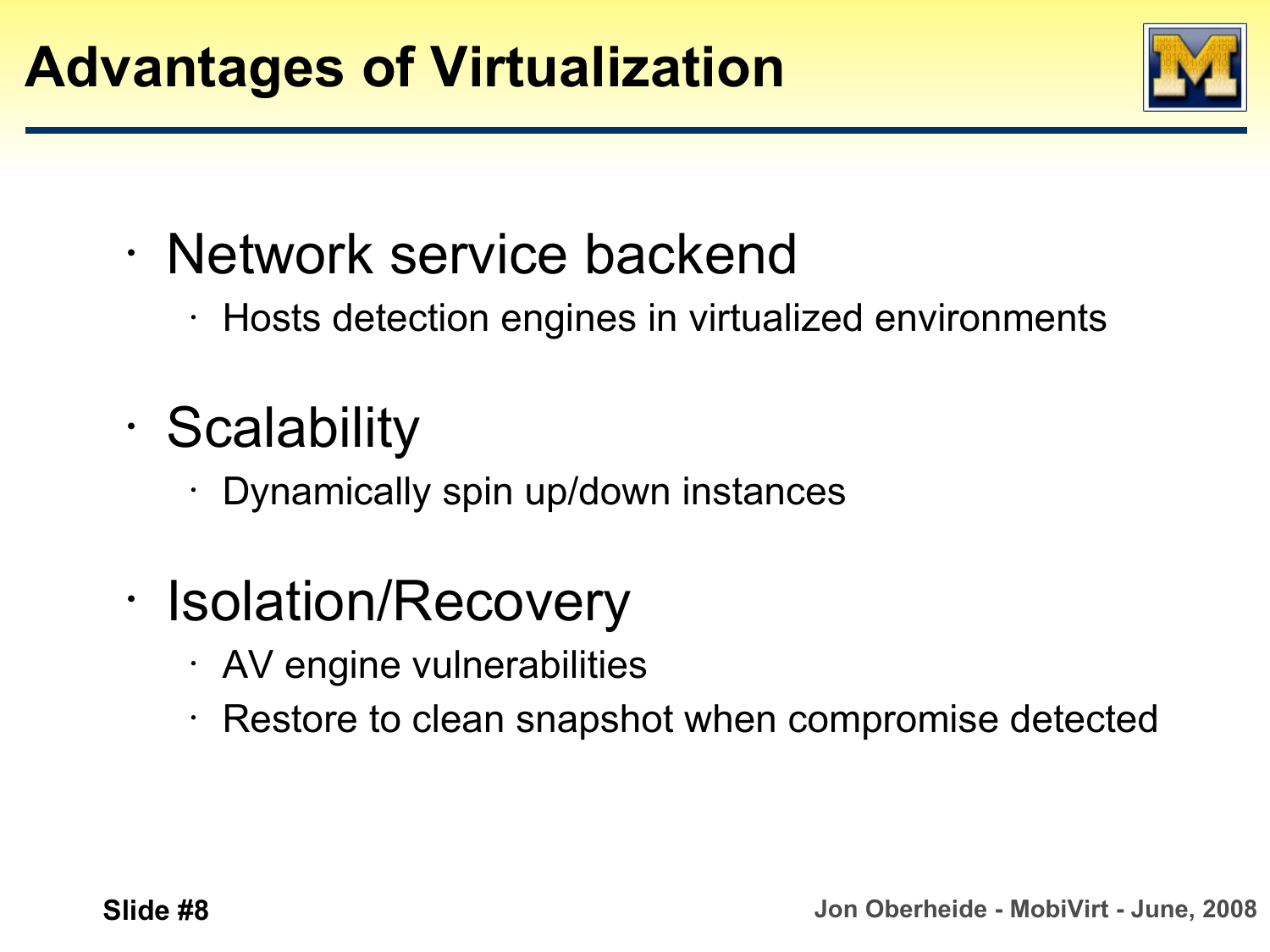

- Network service backend
	- Hosts detection engines in virtualized environments
- Scalability
	- Dynamically spin up/down instances
- Isolation/Recovery
	- AV engine vulnerabilities
	- $\cdot$  Restore to clean snapshot when compromise detected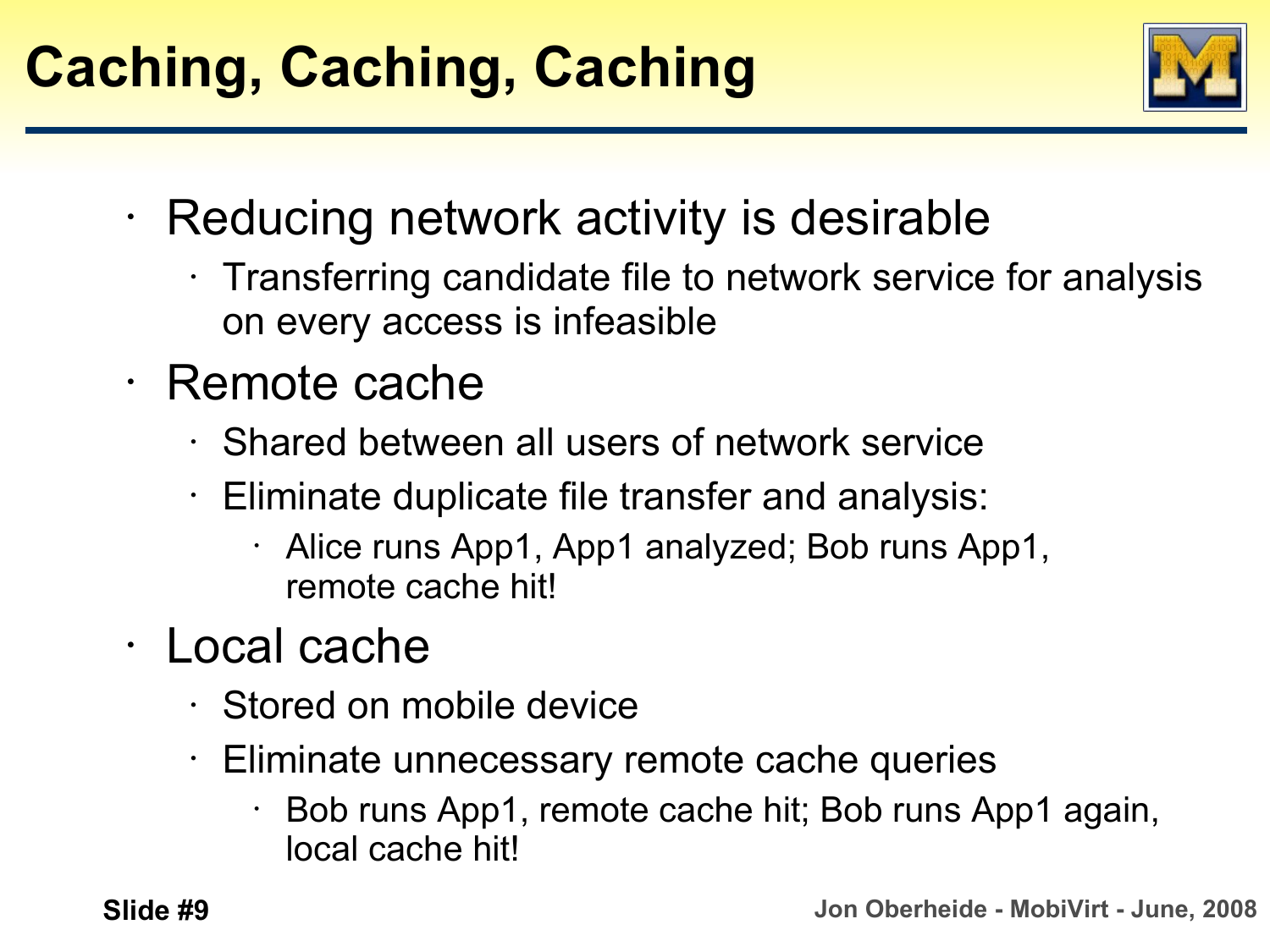

- Reducing network activity is desirable
	- Transferring candidate file to network service for analysis on every access is infeasible
- Remote cache
	- Shared between all users of network service
	- $\cdot$  Eliminate duplicate file transfer and analysis:
		- Alice runs App1, App1 analyzed; Bob runs App1, remote cache hit!
- Local cache
	- Stored on mobile device
	- Eliminate unnecessary remote cache queries
		- Bob runs App1, remote cache hit; Bob runs App1 again, local cache hit!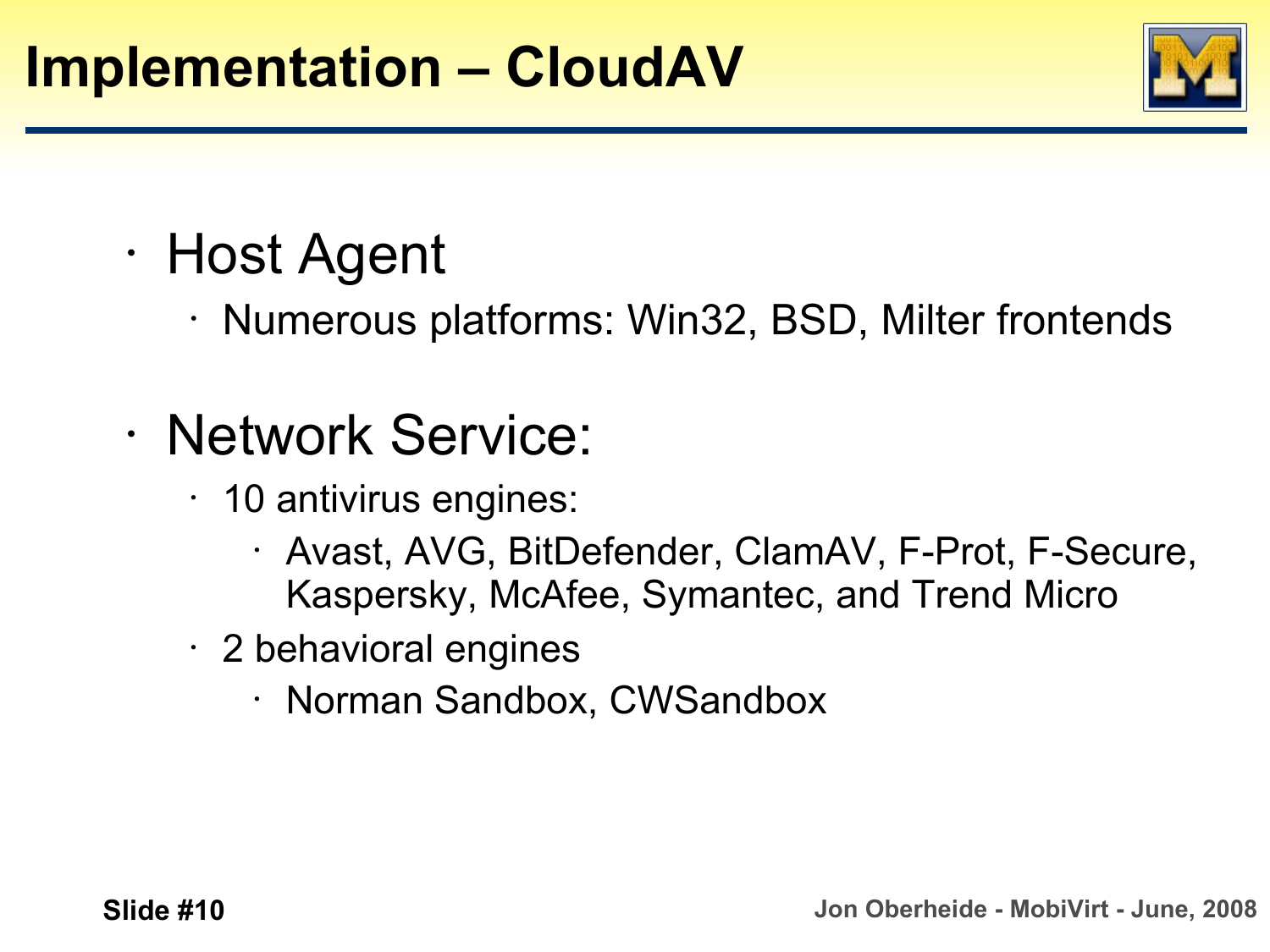

- Host Agent
	- Numerous platforms: Win32, BSD, Milter frontends
- Network Service:
	- 10 antivirus engines:
		- Avast, AVG, BitDefender, ClamAV, F-Prot, F-Secure, Kaspersky, McAfee, Symantec, and Trend Micro
	- 2 behavioral engines
		- Norman Sandbox, CWSandbox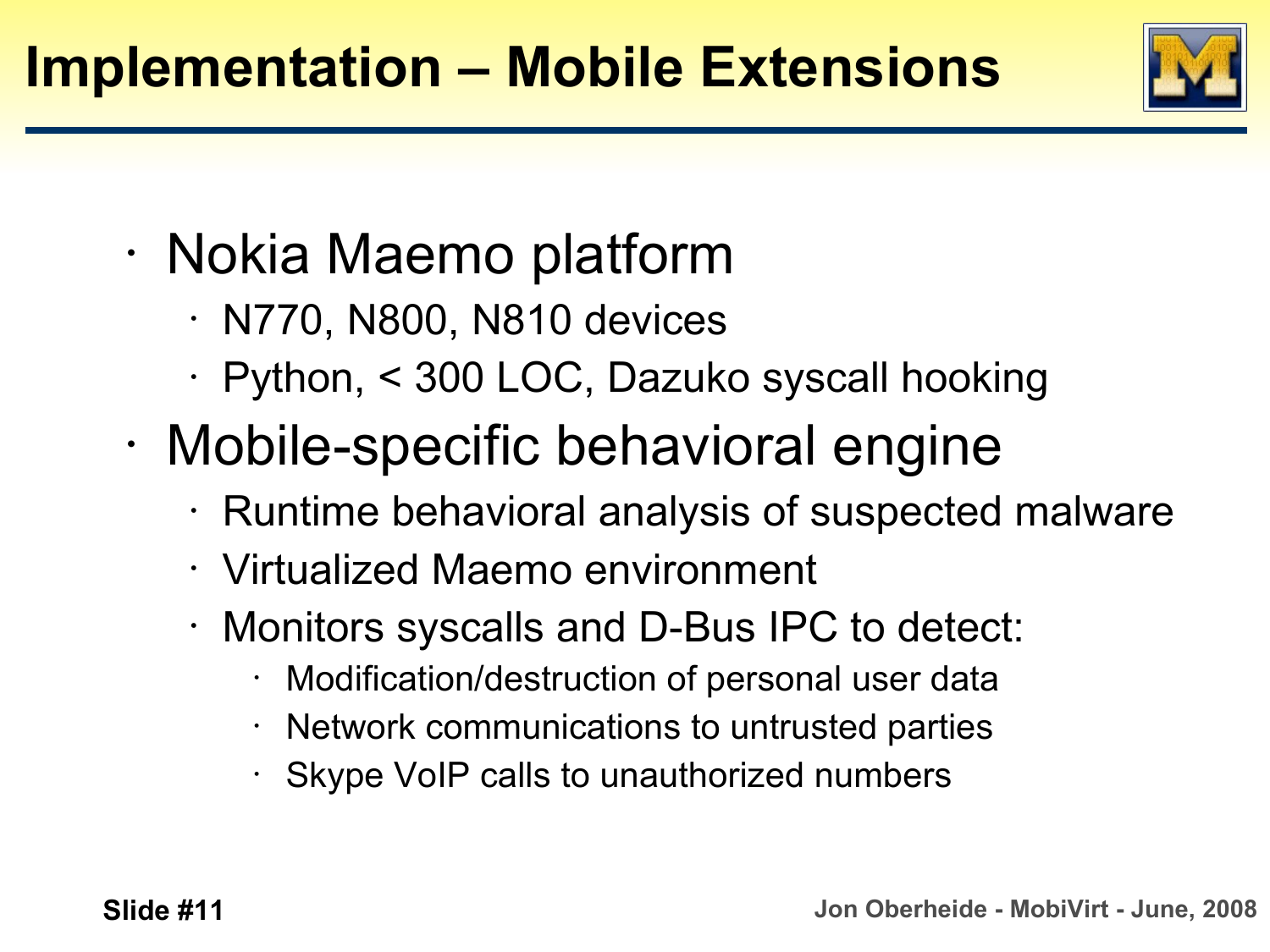

- Nokia Maemo platform
	- $\cdot$  N770, N800, N810 devices
	- Python, < 300 LOC, Dazuko syscall hooking
- Mobile-specific behavioral engine
	- Runtime behavioral analysis of suspected malware
	- Virtualized Maemo environment
	- Monitors syscalls and D-Bus IPC to detect:
		- Modification/destruction of personal user data
		- Network communications to untrusted parties
		- Skype VoIP calls to unauthorized numbers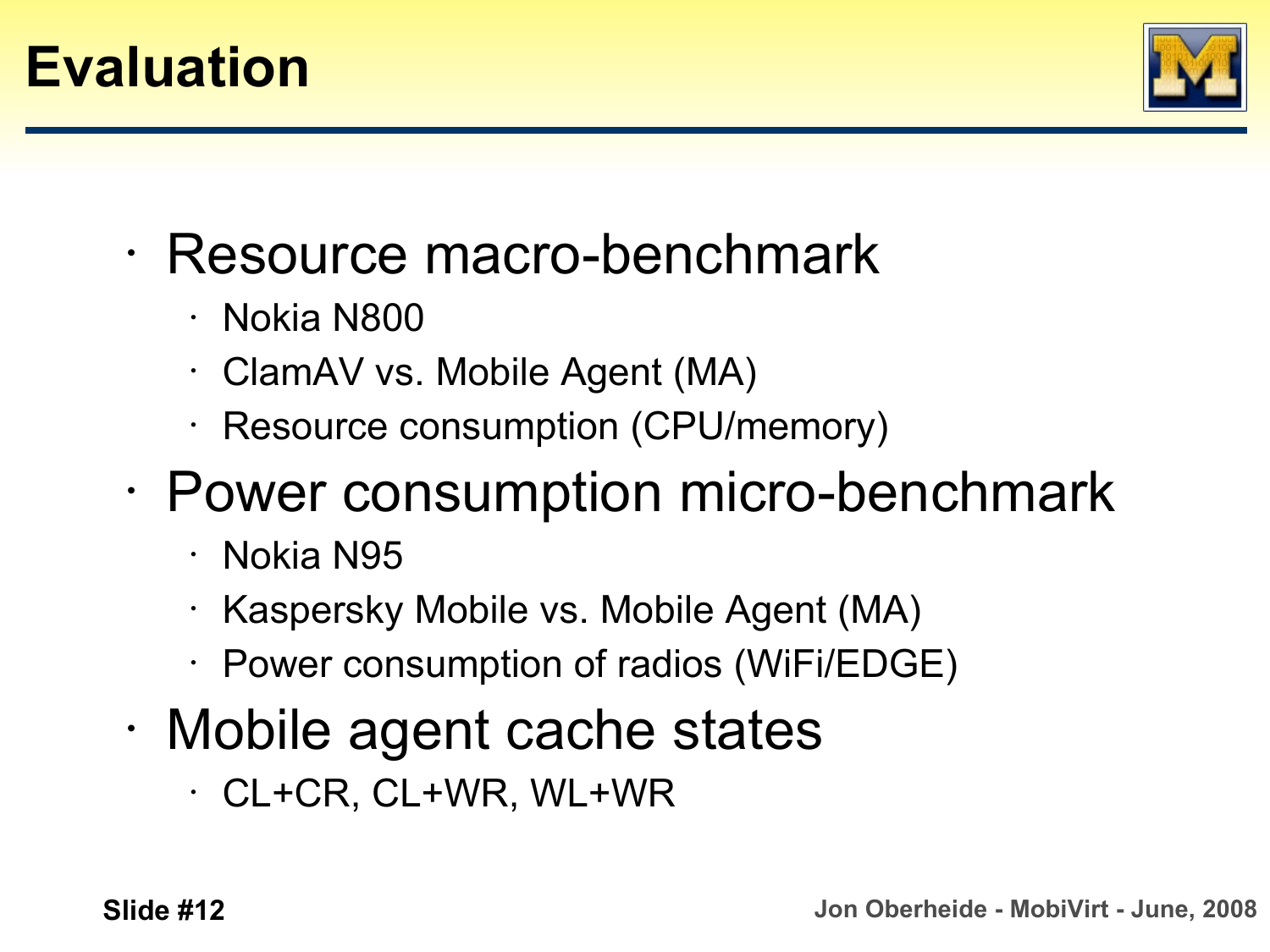

- Resource macro-benchmark
	- Nokia N800
	- ClamAV vs. Mobile Agent (MA)
	- Resource consumption (CPU/memory)
- Power consumption micro-benchmark
	- Nokia N95
	- Kaspersky Mobile vs. Mobile Agent (MA)
	- Power consumption of radios (WiFi/EDGE)
- Mobile agent cache states
	- CL+CR, CL+WR, WL+WR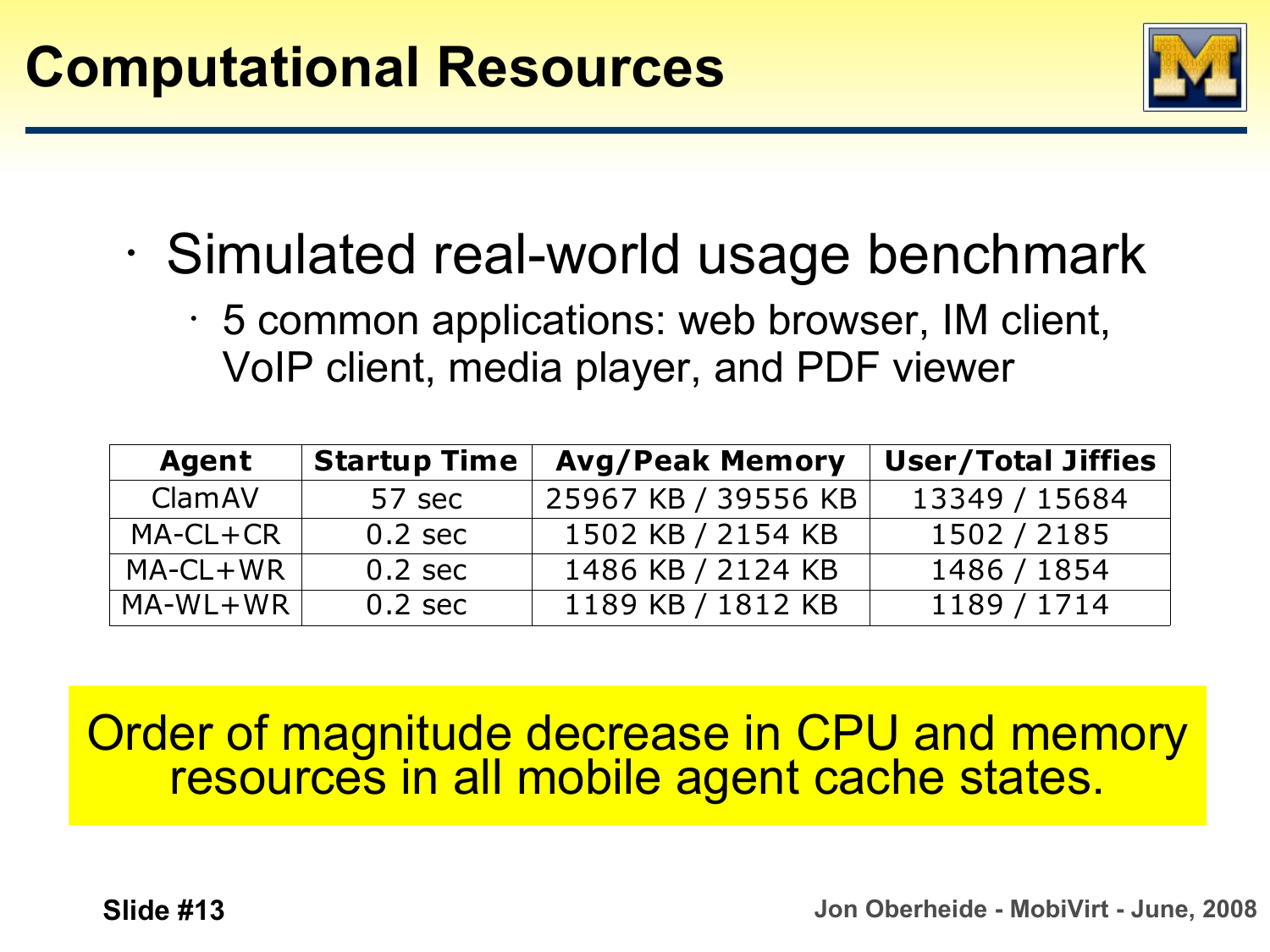

- Simulated real-world usage benchmark
	- 5 common applications: web browser, IM client, VoIP client, media player, and PDF viewer

| <b>Agent</b> | <b>Startup Time</b> | <b>Avg/Peak Memory</b> | <b>User/Total Jiffies</b> |
|--------------|---------------------|------------------------|---------------------------|
| ClamAV       | 57 sec              | 25967 KB / 39556 KB    | 13349 / 15684             |
| $MA-CL+CR$   | $0.2 \text{ sec}$   | 1502 KB / 2154 KB      | 1502 / 2185               |
| $MA-CL+WR$   | $0.2 \text{ sec}$   | 1486 KB / 2124 KB      | 1486 / 1854               |
| $MA-WL+WR$   | $0.2 \text{ sec}$   | 1189 KB / 1812 KB      | 1189 / 1714               |

Order of magnitude decrease in CPU and memory resources in all mobile agent cache states.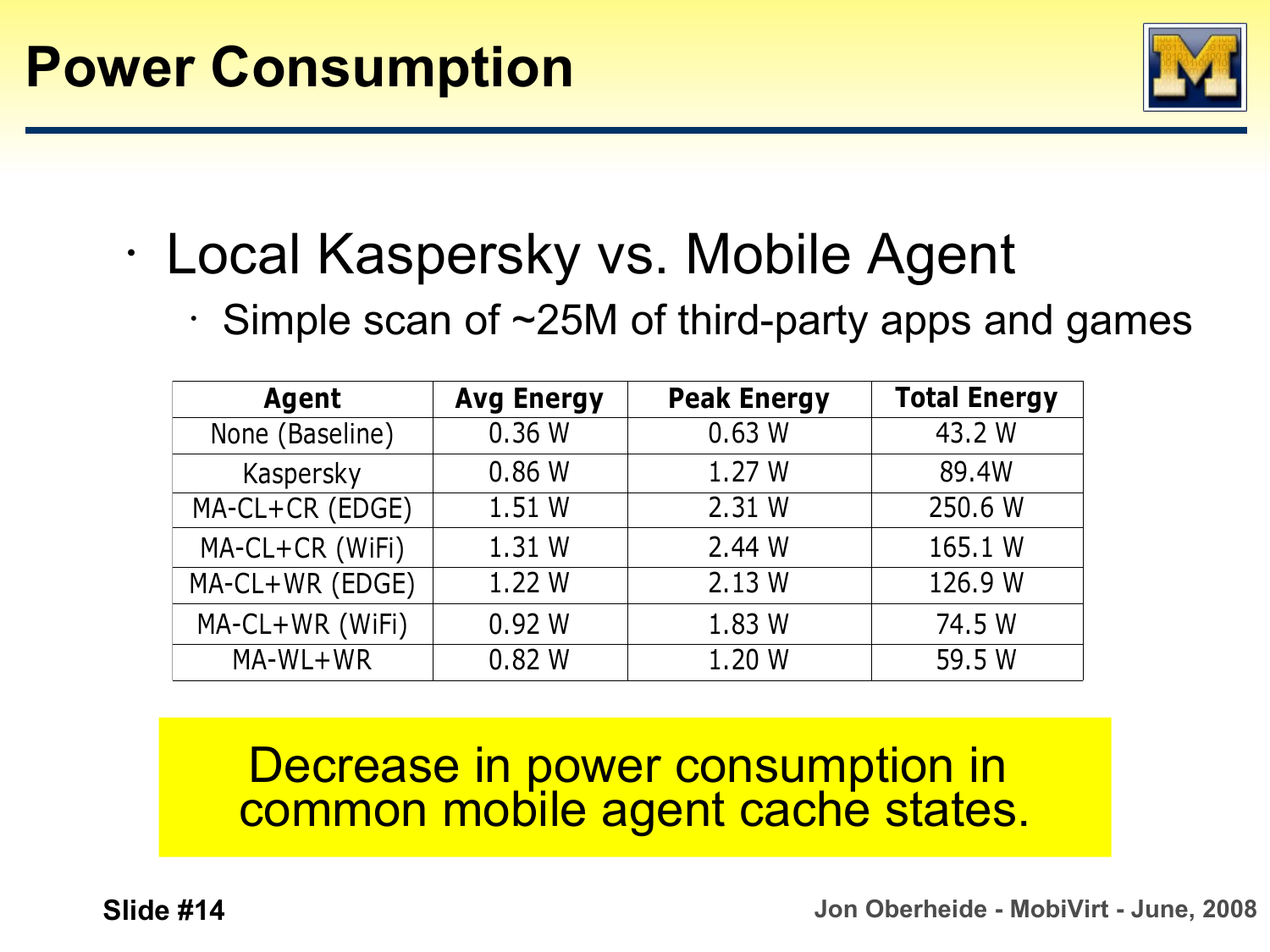

- Local Kaspersky vs. Mobile Agent
	- $\cdot$  Simple scan of  $\sim$ 25M of third-party apps and games

| Agent           | <b>Avg Energy</b> | <b>Peak Energy</b> | <b>Total Energy</b> |  |  |
|-----------------|-------------------|--------------------|---------------------|--|--|
| None (Baseline) | 0.36W             | 0.63 W             | 43.2 W              |  |  |
| Kaspersky       | 0.86W             | 1.27W              | 89.4W               |  |  |
| MA-CL+CR (EDGE) | 1.51 W            | 2.31 W             | 250.6 W             |  |  |
| MA-CL+CR (WiFi) | 1.31 W            | 2.44 W             | 165.1 W             |  |  |
| MA-CL+WR (EDGE) | 1.22 W            | 2.13 W             | 126.9 W             |  |  |
| MA-CL+WR (WiFi) | 0.92 W            | 1.83 W             | 74.5 W              |  |  |
| MA-WL+WR        | 0.82W             | 1.20 W             | 59.5 W              |  |  |

### Decrease in power consumption in common mobile agent cache states.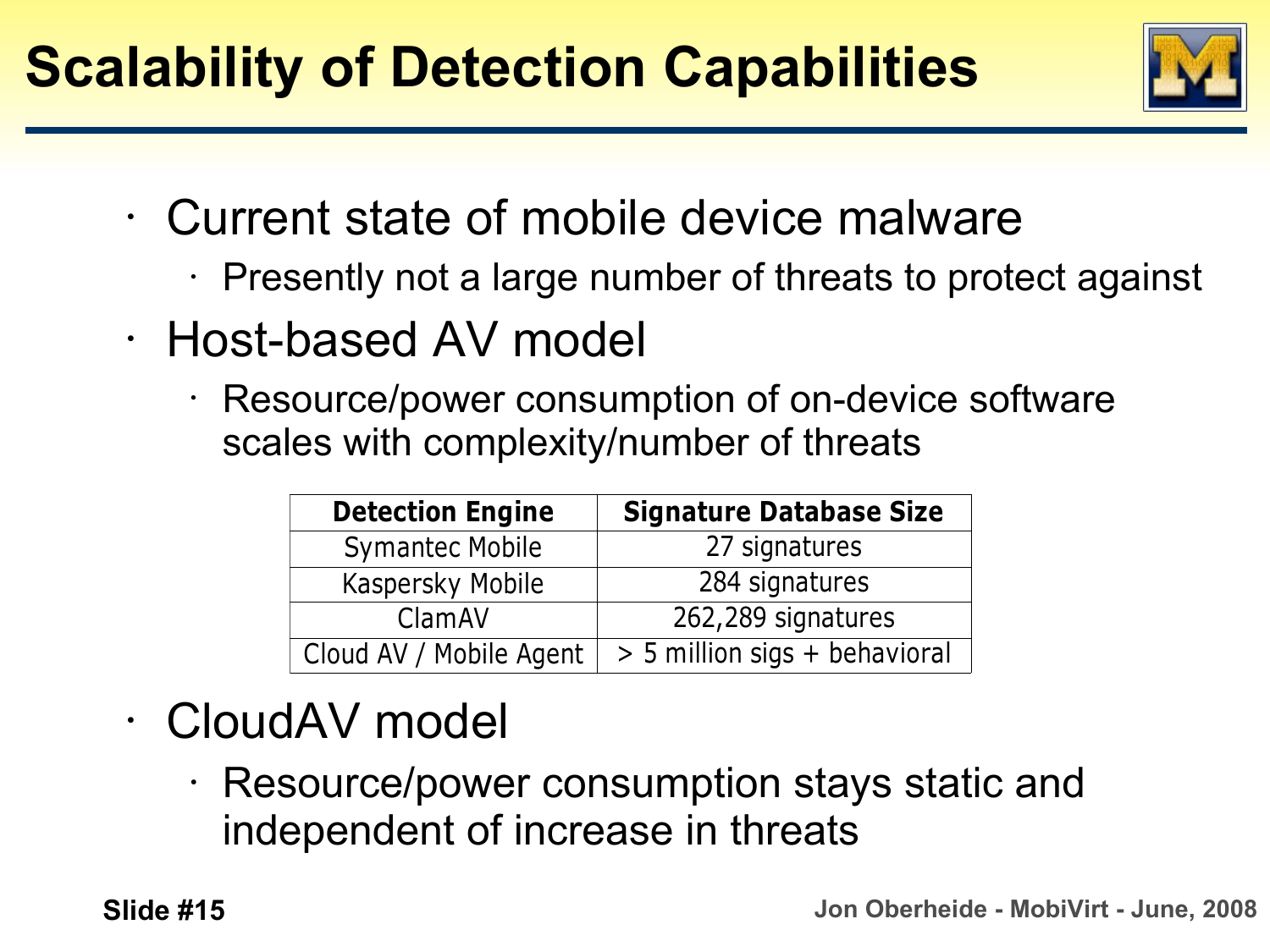

- Current state of mobile device malware
	- Presently not a large number of threats to protect against
- Host-based AV model
	- Resource/power consumption of on-device software scales with complexity/number of threats

| <b>Detection Engine</b> | <b>Signature Database Size</b> |  |  |  |
|-------------------------|--------------------------------|--|--|--|
| <b>Symantec Mobile</b>  | 27 signatures                  |  |  |  |
| Kaspersky Mobile        | 284 signatures                 |  |  |  |
| ClamAV                  | 262,289 signatures             |  |  |  |
| Cloud AV / Mobile Agent | > 5 million sigs + behavioral  |  |  |  |

## • CloudAV model

• Resource/power consumption stays static and independent of increase in threats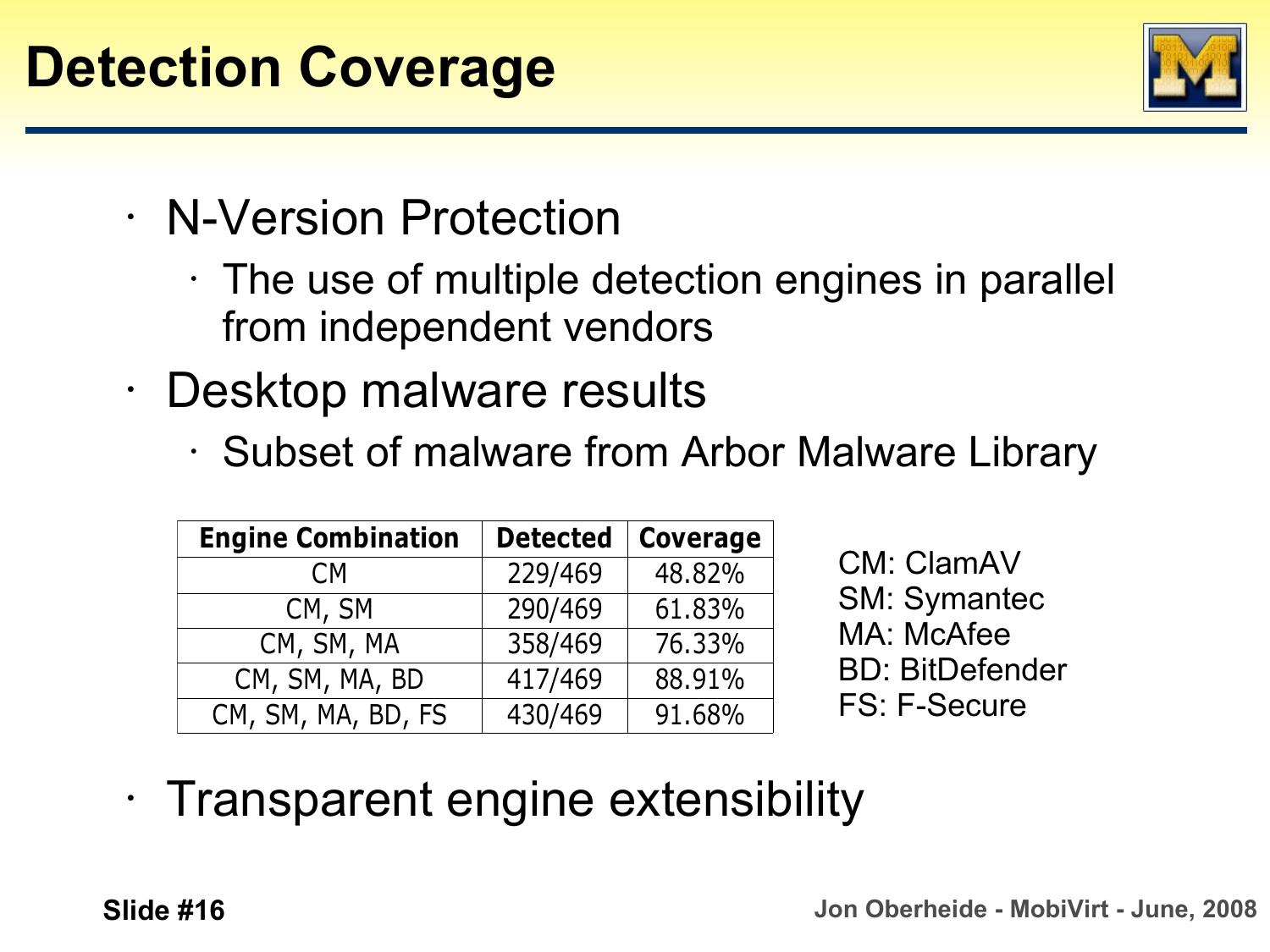

- N-Version Protection
	- $\cdot$  The use of multiple detection engines in parallel from independent vendors
- Desktop malware results
	- Subset of malware from Arbor Malware Library

| <b>Engine Combination</b> | <b>Detected</b> | <b>Coverage</b> |  |  |
|---------------------------|-----------------|-----------------|--|--|
| C <sub>M</sub>            | 229/469         | 48.82%          |  |  |
| CM, SM                    | 290/469         | 61.83%          |  |  |
| CM, SM, MA                | 358/469         | 76.33%          |  |  |
| CM, SM, MA, BD            | 417/469         | 88.91%          |  |  |
| CM, SM, MA, BD, FS        | 430/469         | 91.68%          |  |  |

CM: ClamAV SM: Symantec MA: McAfee BD: BitDefender FS: F-Secure

### • Transparent engine extensibility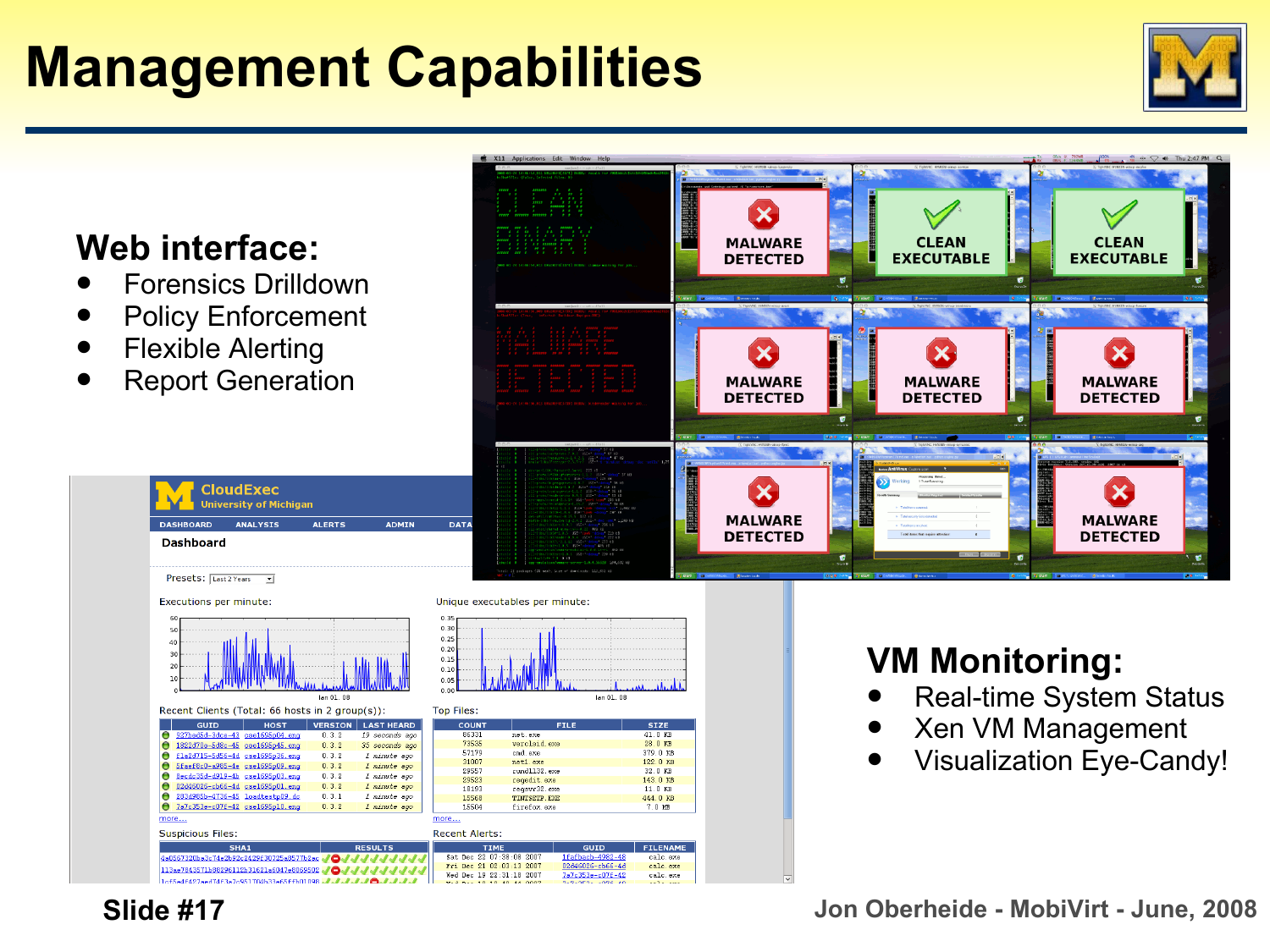# **Management Capabilities**



#### **Web interface:**

- Forensics Drilldown
- Policy Enforcement
- Flexible Alerting

**Dashboard** 

Report Generation

**CloudExec** niversity of Michigan

**ANALYSIS** 



#### Presets: Last 2 Years -Executions per minute: Unique executables per minute:  $0.30$  $0.25$  $0.20$  $0.15$  $0.10$  $0.01$ lan 01 08 **Top Files:** Recent Clients (Total: 66 hosts in 2 group(s)) HOST VERSION LASTH

**ALERTS** 

|                          | Θ<br>927bed5d-3dce-43 cse1695p04.eng                           |                | 0.3.2 | 19 seconds ago      |             | 86331                           | net.exe      |                       | 41.0 KB  |
|--------------------------|----------------------------------------------------------------|----------------|-------|---------------------|-------------|---------------------------------|--------------|-----------------------|----------|
|                          | 1822d70e-5d8c-45 cse1695p45.eng                                |                | 0.3.2 | 35 seconds ago      |             | 73535                           | verclsid.exe |                       | 28.0 KB  |
|                          | f1a2d715-5d56-4d cse1695p36.eng                                |                | 0.3.2 | 1 minute ago        |             | 57179                           | cad. exe     |                       | 379.0 KB |
|                          | Sfaef8c0-a985-4e cse1695p09.eng                                |                | 0.3.2 | 1 minute ago        |             | 31007                           | net1.exe     |                       | 122.0 KB |
|                          | Becdc35d-d919-4b cse1695p03.eng                                |                | 0.3.2 | 1 minute ago        |             | 29557                           | rund1132 exe |                       | 32.0 KB  |
|                          |                                                                |                |       |                     |             | 29523                           | regedit.exe  |                       | 143.0 KB |
|                          | 02d46026-cb66-4d cse1695p01.eng                                |                | 0.3.2 | <i>1 minute</i> ago |             | 18193                           | regsvr32.exe |                       | 11.0 KB  |
|                          | 283d985b-4736-45 loadtestp09.dc                                |                | 0.3.1 | <i>1 minute</i> ago |             | 15568                           | TINTSETP EXE |                       | 444.0 KB |
|                          | 7a7c353e-c07f-42 cse1695p10.eng                                |                | 0.3.2 | <i>1 minute</i> ago |             | 15504                           | firefox.exe  |                       | 7.0 MB   |
|                          | more<br>more                                                   |                |       |                     |             |                                 |              |                       |          |
| <b>Suspicious Files:</b> |                                                                |                |       |                     |             | <b>Recent Alerts:</b>           |              |                       |          |
| SHA <sub>1</sub>         |                                                                | <b>RESULTS</b> |       |                     | <b>TIME</b> |                                 | <b>GUID</b>  | <b>FILENAM</b>        |          |
|                          | 4a0567320ba3c74e2b92c2429f30725a8577b2ac 3                     |                |       |                     |             | Sat. Dec. 22, 07:38:08, 2007    |              | 1fafbacb-4982-48      | calc.exe |
|                          | 113ae7843571b88296112b31621a6047e8069502                       |                |       |                     |             | Fri Dec 21 02:03:13 2007        |              | 02d46026-cb66-4d      | calc.exe |
|                          |                                                                |                |       |                     |             | Wed Dec 19 22:31:18 2007        |              | 7a7c353e-c07f-42      | calc.exe |
|                          | 1065e46427ee47463e7e951704b33e6566b01098.A.A.A.A.A.A.A.A.A.A.A |                |       |                     |             | <b>22 1 23 10 10 10 11 0007</b> |              | <b>9.9.959.095.40</b> |          |

 $an 01 08$ 

Lc. exe

**ADMTN** 

#### **VM Monitoring:**

- Real-time System Status
- Xen VM Management
- Visualization Eye-Candy!

 **Slide #17 Jon Oberheide - MobiVirt - June, 2008**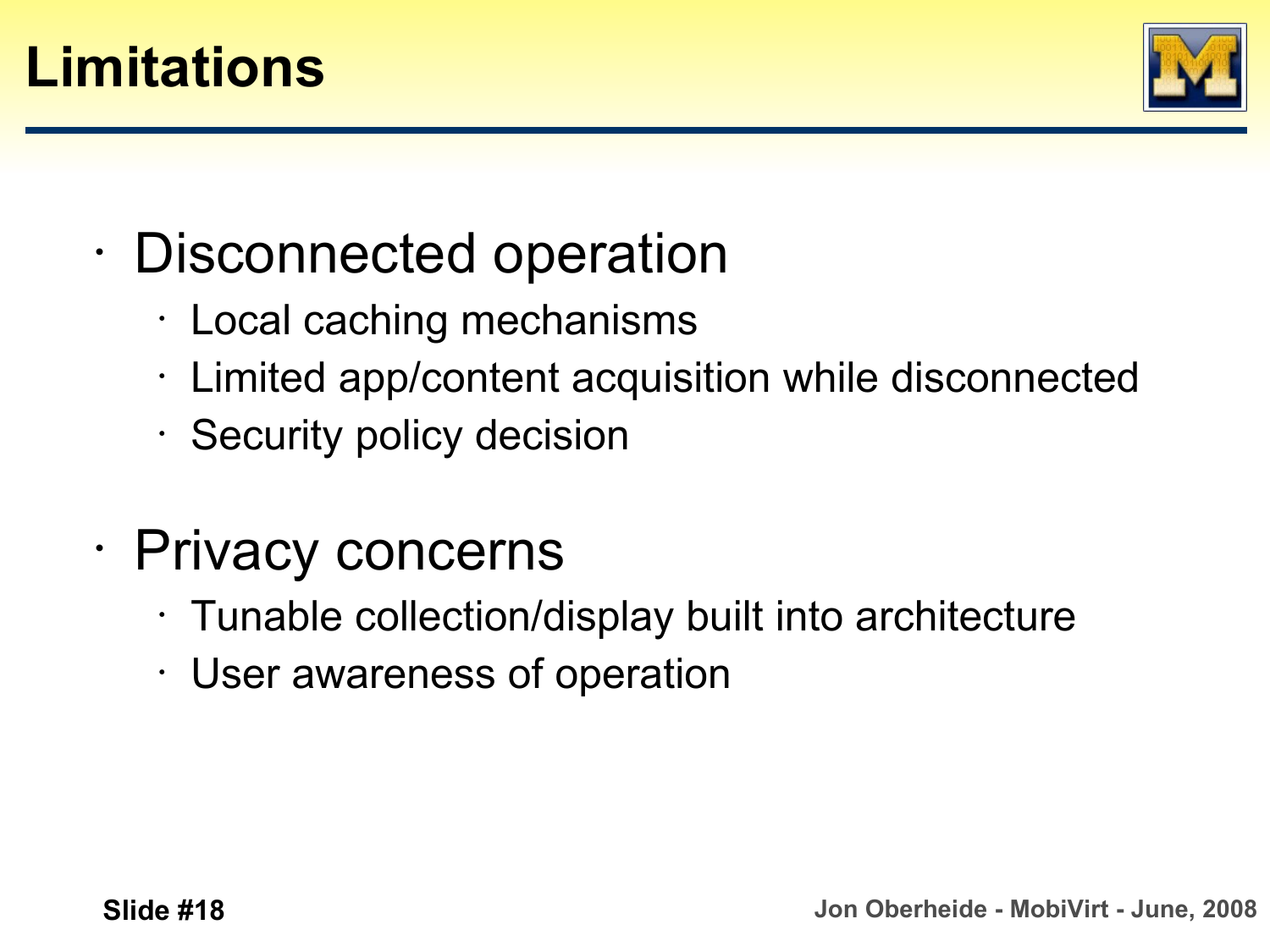



- Disconnected operation
	- Local caching mechanisms
	- Limited app/content acquisition while disconnected
	- Security policy decision
- Privacy concerns
	- Tunable collection/display built into architecture
	- User awareness of operation